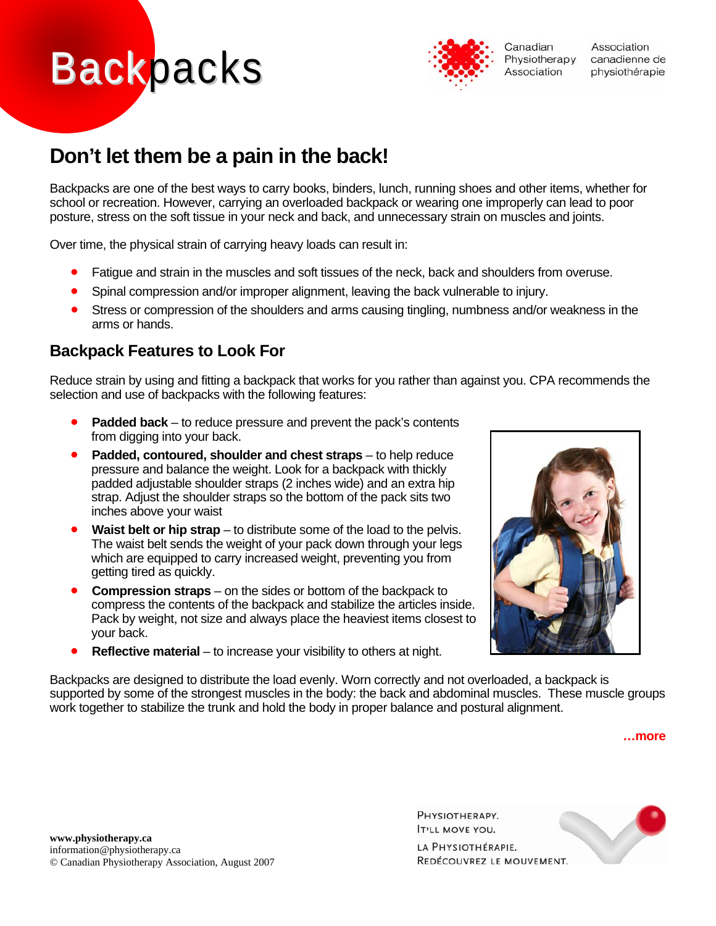# **Backpacks**



Association canadienne de physiothérapie

# **Don't let them be a pain in the back!**

Backpacks are one of the best ways to carry books, binders, lunch, running shoes and other items, whether for school or recreation. However, carrying an overloaded backpack or wearing one improperly can lead to poor posture, stress on the soft tissue in your neck and back, and unnecessary strain on muscles and joints.

Over time, the physical strain of carrying heavy loads can result in:

- Fatigue and strain in the muscles and soft tissues of the neck, back and shoulders from overuse.
- Spinal compression and/or improper alignment, leaving the back vulnerable to injury.
- Stress or compression of the shoulders and arms causing tingling, numbness and/or weakness in the arms or hands.

#### **Backpack Features to Look For**

Reduce strain by using and fitting a backpack that works for you rather than against you. CPA recommends the selection and use of backpacks with the following features:

- **Padded back** to reduce pressure and prevent the pack's contents from digging into your back.
- **Padded, contoured, shoulder and chest straps** to help reduce pressure and balance the weight. Look for a backpack with thickly padded adjustable shoulder straps (2 inches wide) and an extra hip strap. Adjust the shoulder straps so the bottom of the pack sits two inches above your waist
- Waist belt or hip strap to distribute some of the load to the pelvis. The waist belt sends the weight of your pack down through your legs which are equipped to carry increased weight, preventing you from getting tired as quickly.
- **Compression straps**  on the sides or bottom of the backpack to compress the contents of the backpack and stabilize the articles inside. Pack by weight, not size and always place the heaviest items closest to your back.
- **Reflective material** to increase your visibility to others at night.



Backpacks are designed to distribute the load evenly. Worn correctly and not overloaded, a backpack is supported by some of the strongest muscles in the body: the back and abdominal muscles. These muscle groups work together to stabilize the trunk and hold the body in proper balance and postural alignment.

**…more** 

PHYSIOTHERAPY. **T'LL MOVE YOU.** 

LA PHYSIOTHÉRAPIE. REDÉCOUVREZ LE MOUVEMENT.